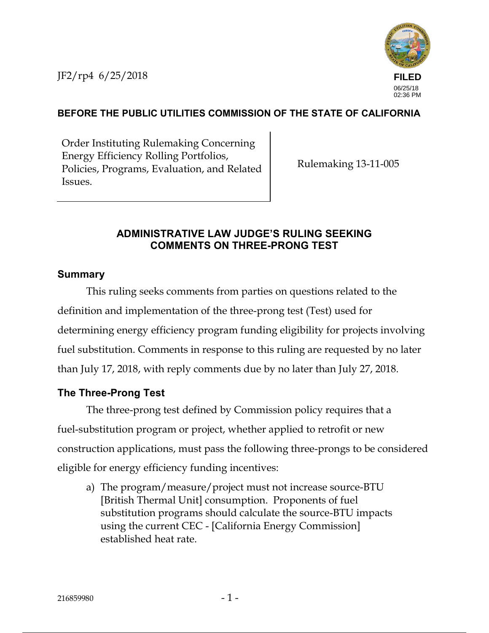

# **BEFORE THE PUBLIC UTILITIES COMMISSION OF THE STATE OF CALIFORNIA**

Order Instituting Rulemaking Concerning Energy Efficiency Rolling Portfolios, Policies, Programs, Evaluation, and Related Issues.

Rulemaking 13-11-005

### **ADMINISTRATIVE LAW JUDGE'S RULING SEEKING COMMENTS ON THREE-PRONG TEST**

#### **Summary**

This ruling seeks comments from parties on questions related to the definition and implementation of the three-prong test (Test) used for determining energy efficiency program funding eligibility for projects involving fuel substitution. Comments in response to this ruling are requested by no later than July 17, 2018, with reply comments due by no later than July 27, 2018.

# **The Three-Prong Test**

The three-prong test defined by Commission policy requires that a fuel-substitution program or project, whether applied to retrofit or new construction applications, must pass the following three-prongs to be considered eligible for energy efficiency funding incentives:

a) The program/measure/project must not increase source-BTU [British Thermal Unit] consumption. Proponents of fuel substitution programs should calculate the source-BTU impacts using the current CEC - [California Energy Commission] established heat rate.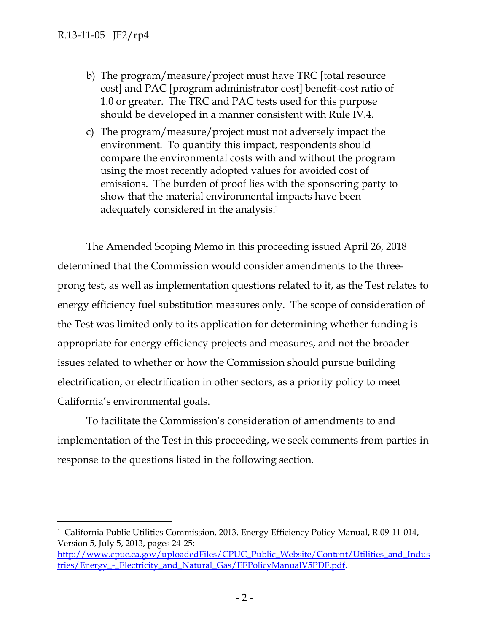- b) The program/measure/project must have TRC [total resource cost] and PAC [program administrator cost] benefit-cost ratio of 1.0 or greater. The TRC and PAC tests used for this purpose should be developed in a manner consistent with Rule IV.4.
- c) The program/measure/project must not adversely impact the environment. To quantify this impact, respondents should compare the environmental costs with and without the program using the most recently adopted values for avoided cost of emissions. The burden of proof lies with the sponsoring party to show that the material environmental impacts have been adequately considered in the analysis.<sup>1</sup>

The Amended Scoping Memo in this proceeding issued April 26, 2018 determined that the Commission would consider amendments to the threeprong test, as well as implementation questions related to it, as the Test relates to energy efficiency fuel substitution measures only. The scope of consideration of the Test was limited only to its application for determining whether funding is appropriate for energy efficiency projects and measures, and not the broader issues related to whether or how the Commission should pursue building electrification, or electrification in other sectors, as a priority policy to meet California's environmental goals.

To facilitate the Commission's consideration of amendments to and implementation of the Test in this proceeding, we seek comments from parties in response to the questions listed in the following section.

 <sup>1</sup> California Public Utilities Commission. 2013. Energy Efficiency Policy Manual, R.09-11-014, Version 5, July 5, 2013, pages 24-25:

http://www.cpuc.ca.gov/uploadedFiles/CPUC\_Public\_Website/Content/Utilities\_and\_Indus tries/Energy\_-\_Electricity\_and\_Natural\_Gas/EEPolicyManualV5PDF.pdf.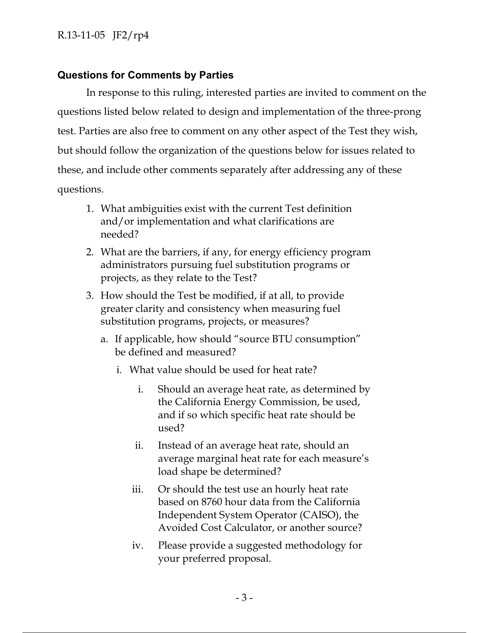## **Questions for Comments by Parties**

In response to this ruling, interested parties are invited to comment on the questions listed below related to design and implementation of the three-prong test. Parties are also free to comment on any other aspect of the Test they wish, but should follow the organization of the questions below for issues related to these, and include other comments separately after addressing any of these questions.

- 1. What ambiguities exist with the current Test definition and/or implementation and what clarifications are needed?
- 2. What are the barriers, if any, for energy efficiency program administrators pursuing fuel substitution programs or projects, as they relate to the Test?
- 3. How should the Test be modified, if at all, to provide greater clarity and consistency when measuring fuel substitution programs, projects, or measures?
	- a. If applicable, how should "source BTU consumption" be defined and measured?
		- i. What value should be used for heat rate?
			- i. Should an average heat rate, as determined by the California Energy Commission, be used, and if so which specific heat rate should be used?
			- ii. Instead of an average heat rate, should an average marginal heat rate for each measure's load shape be determined?
			- iii. Or should the test use an hourly heat rate based on 8760 hour data from the California Independent System Operator (CAISO), the Avoided Cost Calculator, or another source?
			- iv. Please provide a suggested methodology for your preferred proposal.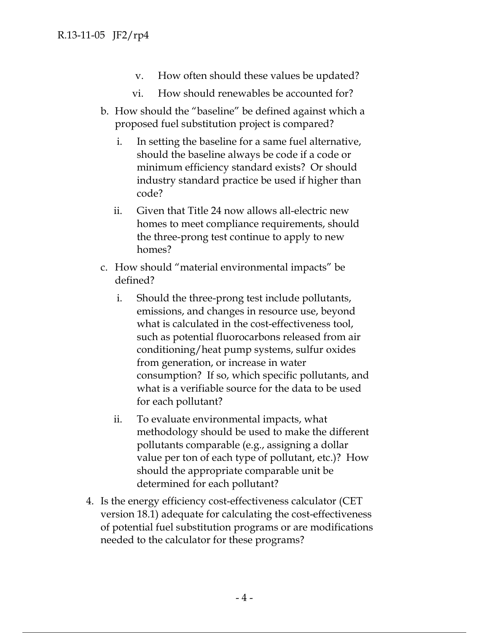- v. How often should these values be updated?
- vi. How should renewables be accounted for?
- b. How should the "baseline" be defined against which a proposed fuel substitution project is compared?
	- i. In setting the baseline for a same fuel alternative, should the baseline always be code if a code or minimum efficiency standard exists? Or should industry standard practice be used if higher than code?
	- ii. Given that Title 24 now allows all-electric new homes to meet compliance requirements, should the three-prong test continue to apply to new homes?
- c. How should "material environmental impacts" be defined?
	- i. Should the three-prong test include pollutants, emissions, and changes in resource use, beyond what is calculated in the cost-effectiveness tool, such as potential fluorocarbons released from air conditioning/heat pump systems, sulfur oxides from generation, or increase in water consumption? If so, which specific pollutants, and what is a verifiable source for the data to be used for each pollutant?
	- ii. To evaluate environmental impacts, what methodology should be used to make the different pollutants comparable (e.g., assigning a dollar value per ton of each type of pollutant, etc.)? How should the appropriate comparable unit be determined for each pollutant?
- 4. Is the energy efficiency cost-effectiveness calculator (CET version 18.1) adequate for calculating the cost-effectiveness of potential fuel substitution programs or are modifications needed to the calculator for these programs?